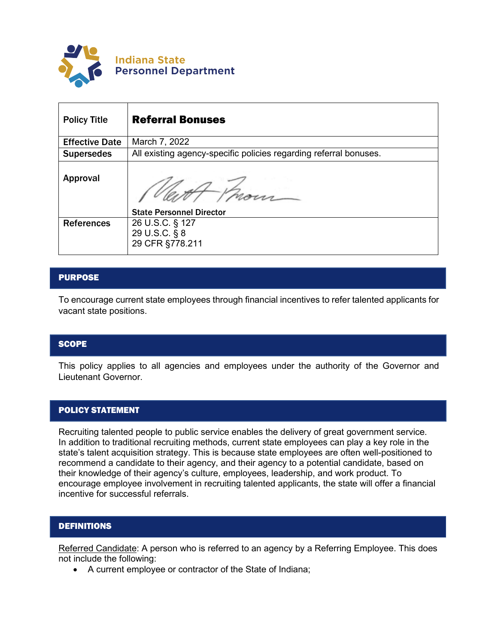

| <b>Policy Title</b>   | <b>Referral Bonuses</b>                                           |
|-----------------------|-------------------------------------------------------------------|
| <b>Effective Date</b> | March 7, 2022                                                     |
| <b>Supersedes</b>     | All existing agency-specific policies regarding referral bonuses. |
| Approval              | <b>State Personnel Director</b>                                   |
| <b>References</b>     | 26 U.S.C. § 127<br>29 U.S.C. § 8<br>29 CFR §778.211               |

# PURPOSE

To encourage current state employees through financial incentives to refer talented applicants for vacant state positions.

### **SCOPE**

This policy applies to all agencies and employees under the authority of the Governor and Lieutenant Governor.

## POLICY STATEMENT

Recruiting talented people to public service enables the delivery of great government service. In addition to traditional recruiting methods, current state employees can play a key role in the state's talent acquisition strategy. This is because state employees are often well-positioned to recommend a candidate to their agency, and their agency to a potential candidate, based on their knowledge of their agency's culture, employees, leadership, and work product. To encourage employee involvement in recruiting talented applicants, the state will offer a financial incentive for successful referrals.

### DEFINITIONS

Referred Candidate: A person who is referred to an agency by a Referring Employee. This does not include the following:

• A current employee or contractor of the State of Indiana;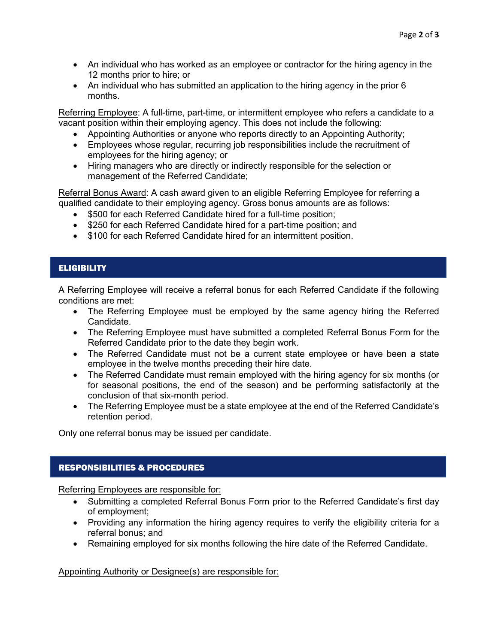- An individual who has worked as an employee or contractor for the hiring agency in the 12 months prior to hire; or
- An individual who has submitted an application to the hiring agency in the prior 6 months.

Referring Employee: A full-time, part-time, or intermittent employee who refers a candidate to a vacant position within their employing agency. This does not include the following:

- Appointing Authorities or anyone who reports directly to an Appointing Authority;
- Employees whose regular, recurring job responsibilities include the recruitment of employees for the hiring agency; or
- Hiring managers who are directly or indirectly responsible for the selection or management of the Referred Candidate;

Referral Bonus Award: A cash award given to an eligible Referring Employee for referring a qualified candidate to their employing agency. Gross bonus amounts are as follows:

- \$500 for each Referred Candidate hired for a full-time position;
- \$250 for each Referred Candidate hired for a part-time position: and
- \$100 for each Referred Candidate hired for an intermittent position.

# **ELIGIBILITY**

A Referring Employee will receive a referral bonus for each Referred Candidate if the following conditions are met:

- The Referring Employee must be employed by the same agency hiring the Referred Candidate.
- The Referring Employee must have submitted a completed Referral Bonus Form for the Referred Candidate prior to the date they begin work.
- The Referred Candidate must not be a current state employee or have been a state employee in the twelve months preceding their hire date.
- The Referred Candidate must remain employed with the hiring agency for six months (or for seasonal positions, the end of the season) and be performing satisfactorily at the conclusion of that six-month period.
- The Referring Employee must be a state employee at the end of the Referred Candidate's retention period.

Only one referral bonus may be issued per candidate.

## RESPONSIBILITIES & PROCEDURES

Referring Employees are responsible for:

- Submitting a completed Referral Bonus Form prior to the Referred Candidate's first day of employment;
- Providing any information the hiring agency requires to verify the eligibility criteria for a referral bonus; and
- Remaining employed for six months following the hire date of the Referred Candidate.

Appointing Authority or Designee(s) are responsible for: